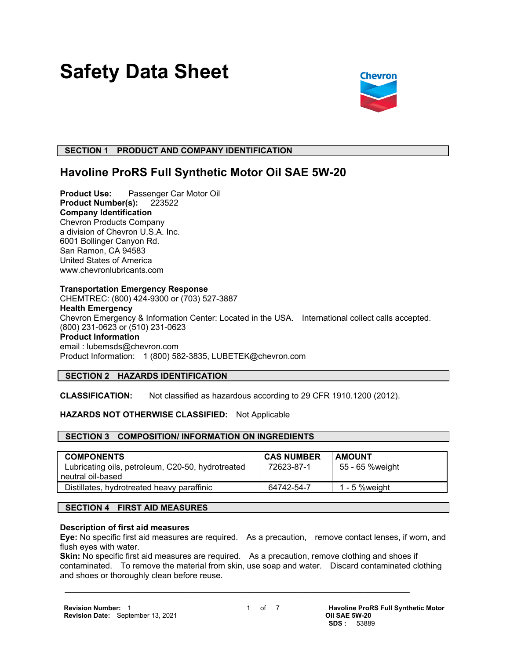# **Safety Data Sheet**



# **SECTION 1 PRODUCT AND COMPANY IDENTIFICATION**

# **Havoline ProRS Full Synthetic Motor Oil SAE 5W-20**

**Product Use:** Passenger Car Motor Oil **Product Number(s):** 223522 **Company Identification** Chevron Products Company a division of Chevron U.S.A. Inc. 6001 Bollinger Canyon Rd. San Ramon, CA 94583 United States of America www.chevronlubricants.com

#### **Transportation Emergency Response**

CHEMTREC: (800) 424-9300 or (703) 527-3887 **Health Emergency** Chevron Emergency & Information Center: Located in the USA. International collect calls accepted. (800) 231-0623 or (510) 231-0623 **Product Information** email : lubemsds@chevron.com Product Information: 1 (800) 582-3835, LUBETEK@chevron.com

# **SECTION 2 HAZARDS IDENTIFICATION**

**CLASSIFICATION:** Not classified as hazardous according to 29 CFR 1910.1200 (2012).

# **HAZARDS NOT OTHERWISE CLASSIFIED:** Not Applicable

# **SECTION 3 COMPOSITION/ INFORMATION ON INGREDIENTS**

| <b>COMPONENTS</b>                                 | <b>CAS NUMBER</b> | <b>AMOUNT</b>   |
|---------------------------------------------------|-------------------|-----------------|
| Lubricating oils, petroleum, C20-50, hydrotreated | 72623-87-1        | 55 - 65 %weight |
| neutral oil-based                                 |                   |                 |
| Distillates, hydrotreated heavy paraffinic        | 64742-54-7        | 1 - 5 % weight  |

# **SECTION 4 FIRST AID MEASURES**

#### **Description of first aid measures**

**Eye:** No specific first aid measures are required. As a precaution, remove contact lenses, if worn, and flush eyes with water.

**Skin:** No specific first aid measures are required. As a precaution, remove clothing and shoes if contaminated. To remove the material from skin, use soap and water. Discard contaminated clothing and shoes or thoroughly clean before reuse.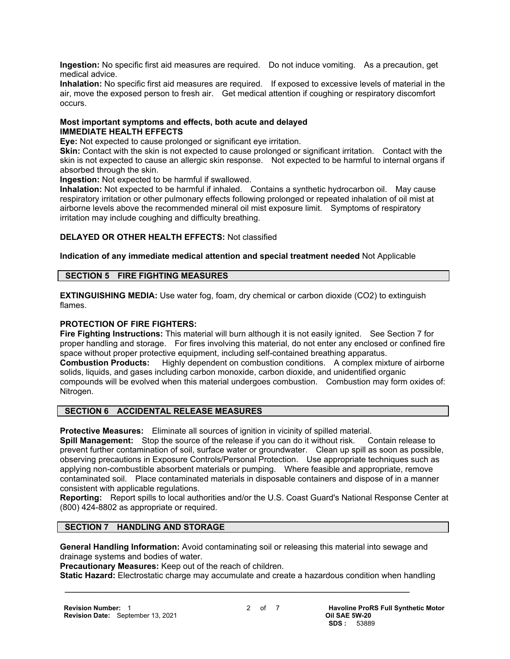**Ingestion:** No specific first aid measures are required. Do not induce vomiting. As a precaution, get medical advice.

**Inhalation:** No specific first aid measures are required. If exposed to excessive levels of material in the air, move the exposed person to fresh air. Get medical attention if coughing or respiratory discomfort occurs.

#### **Most important symptoms and effects, both acute and delayed IMMEDIATE HEALTH EFFECTS**

**Eye:** Not expected to cause prolonged or significant eye irritation.

**Skin:** Contact with the skin is not expected to cause prolonged or significant irritation. Contact with the skin is not expected to cause an allergic skin response. Not expected to be harmful to internal organs if absorbed through the skin.

**Ingestion:** Not expected to be harmful if swallowed.

**Inhalation:** Not expected to be harmful if inhaled. Contains a synthetic hydrocarbon oil. May cause respiratory irritation or other pulmonary effects following prolonged or repeated inhalation of oil mist at airborne levels above the recommended mineral oil mist exposure limit. Symptoms of respiratory irritation may include coughing and difficulty breathing.

# **DELAYED OR OTHER HEALTH EFFECTS:** Not classified

# **Indication of any immediate medical attention and special treatment needed** Not Applicable

#### **SECTION 5 FIRE FIGHTING MEASURES**

**EXTINGUISHING MEDIA:** Use water fog, foam, dry chemical or carbon dioxide (CO2) to extinguish flames.

# **PROTECTION OF FIRE FIGHTERS:**

**Fire Fighting Instructions:** This material will burn although it is not easily ignited. See Section 7 for proper handling and storage. For fires involving this material, do not enter any enclosed or confined fire space without proper protective equipment, including self-contained breathing apparatus. **Combustion Products:** Highly dependent on combustion conditions. A complex mixture of airborne solids, liquids, and gases including carbon monoxide, carbon dioxide, and unidentified organic compounds will be evolved when this material undergoes combustion. Combustion may form oxides of: Nitrogen.

# **SECTION 6 ACCIDENTAL RELEASE MEASURES**

**Protective Measures:** Eliminate all sources of ignition in vicinity of spilled material.

**Spill Management:** Stop the source of the release if you can do it without risk. Contain release to prevent further contamination of soil, surface water or groundwater. Clean up spill as soon as possible, observing precautions in Exposure Controls/Personal Protection. Use appropriate techniques such as applying non-combustible absorbent materials or pumping. Where feasible and appropriate, remove contaminated soil. Place contaminated materials in disposable containers and dispose of in a manner consistent with applicable regulations.

**Reporting:** Report spills to local authorities and/or the U.S. Coast Guard's National Response Center at (800) 424-8802 as appropriate or required.

# **SECTION 7 HANDLING AND STORAGE**

**General Handling Information:** Avoid contaminating soil or releasing this material into sewage and drainage systems and bodies of water.

**Precautionary Measures:** Keep out of the reach of children.

**Static Hazard:** Electrostatic charge may accumulate and create a hazardous condition when handling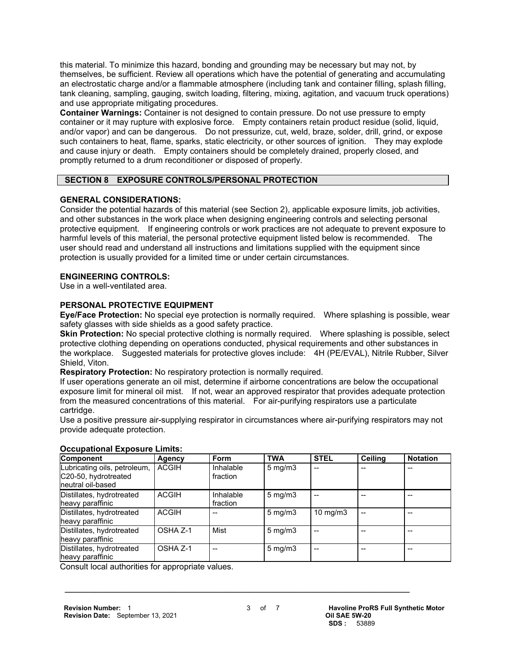this material. To minimize this hazard, bonding and grounding may be necessary but may not, by themselves, be sufficient. Review all operations which have the potential of generating and accumulating an electrostatic charge and/or a flammable atmosphere (including tank and container filling, splash filling, tank cleaning, sampling, gauging, switch loading, filtering, mixing, agitation, and vacuum truck operations) and use appropriate mitigating procedures.

**Container Warnings:** Container is not designed to contain pressure. Do not use pressure to empty container or it may rupture with explosive force. Empty containers retain product residue (solid, liquid, and/or vapor) and can be dangerous. Do not pressurize, cut, weld, braze, solder, drill, grind, or expose such containers to heat, flame, sparks, static electricity, or other sources of ignition. They may explode and cause injury or death. Empty containers should be completely drained, properly closed, and promptly returned to a drum reconditioner or disposed of properly.

# **SECTION 8 EXPOSURE CONTROLS/PERSONAL PROTECTION**

# **GENERAL CONSIDERATIONS:**

Consider the potential hazards of this material (see Section 2), applicable exposure limits, job activities, and other substances in the work place when designing engineering controls and selecting personal protective equipment. If engineering controls or work practices are not adequate to prevent exposure to harmful levels of this material, the personal protective equipment listed below is recommended. The user should read and understand all instructions and limitations supplied with the equipment since protection is usually provided for a limited time or under certain circumstances.

# **ENGINEERING CONTROLS:**

Use in a well-ventilated area.

# **PERSONAL PROTECTIVE EQUIPMENT**

**Eye/Face Protection:** No special eye protection is normally required. Where splashing is possible, wear safety glasses with side shields as a good safety practice.

**Skin Protection:** No special protective clothing is normally required. Where splashing is possible, select protective clothing depending on operations conducted, physical requirements and other substances in the workplace. Suggested materials for protective gloves include: 4H (PE/EVAL), Nitrile Rubber, Silver Shield, Viton.

**Respiratory Protection:** No respiratory protection is normally required.

If user operations generate an oil mist, determine if airborne concentrations are below the occupational exposure limit for mineral oil mist. If not, wear an approved respirator that provides adequate protection from the measured concentrations of this material. For air-purifying respirators use a particulate cartridge.

Use a positive pressure air-supplying respirator in circumstances where air-purifying respirators may not provide adequate protection.

| Component                                                                  | Agency       | <b>Form</b>           | <b>TWA</b>       | <b>STEL</b>       | Ceiling | <b>Notation</b> |
|----------------------------------------------------------------------------|--------------|-----------------------|------------------|-------------------|---------|-----------------|
| Lubricating oils, petroleum,<br>C20-50, hydrotreated<br>Ineutral oil-based | <b>ACGIH</b> | Inhalable<br>fraction | $5 \text{ mg/m}$ | --                |         |                 |
| Distillates, hydrotreated<br>heavy paraffinic                              | <b>ACGIH</b> | Inhalable<br>fraction | $5 \text{ mg/m}$ |                   |         |                 |
| Distillates, hydrotreated<br>heavy paraffinic                              | <b>ACGIH</b> |                       | $5 \text{ mg/m}$ | $10 \text{ mg/m}$ |         |                 |
| Distillates, hydrotreated<br>heavy paraffinic                              | OSHA Z-1     | Mist                  | $5 \text{ mg/m}$ |                   |         |                 |
| Distillates, hydrotreated<br>heavy paraffinic                              | OSHA Z-1     | --                    | $5 \text{ mg/m}$ |                   |         |                 |

# **Occupational Exposure Limits:**

Consult local authorities for appropriate values.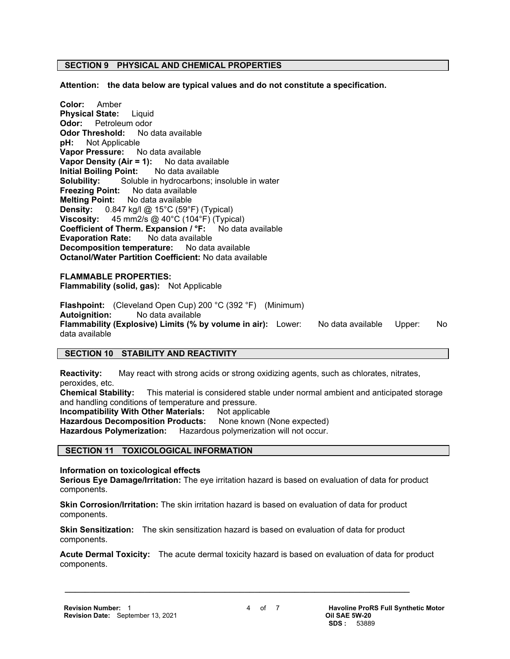# **SECTION 9 PHYSICAL AND CHEMICAL PROPERTIES**

**Attention: the data below are typical values and do not constitute a specification.**

**Color:** Amber **Physical State:** Liquid **Odor:** Petroleum odor **Odor Threshold:** No data available **pH:** Not Applicable **Vapor Pressure:** No data available **Vapor Density (Air = 1):** No data available **Initial Boiling Point:** No data available **Solubility:** Soluble in hydrocarbons; insoluble in water **Freezing Point:** No data available **Melting Point:** No data available **Density:** 0.847 kg/l @ 15°C (59°F) (Typical) **Viscosity:** 45 mm2/s @ 40°C (104°F) (Typical) **Coefficient of Therm. Expansion / °F:** No data available **Evaporation Rate:** No data available **Decomposition temperature:** No data available **Octanol/Water Partition Coefficient:** No data available

**FLAMMABLE PROPERTIES: Flammability (solid, gas):** Not Applicable

**Flashpoint:** (Cleveland Open Cup) 200 °C (392 °F) (Minimum) **Autoignition:** No data available **Flammability (Explosive) Limits (% by volume in air):** Lower: No data available Upper: No data available

# **SECTION 10 STABILITY AND REACTIVITY**

**Reactivity:** May react with strong acids or strong oxidizing agents, such as chlorates, nitrates, peroxides, etc.

**Chemical Stability:** This material is considered stable under normal ambient and anticipated storage and handling conditions of temperature and pressure.

**Incompatibility With Other Materials: Not applicable** 

Hazardous Decomposition Products: None known (None expected)

**Hazardous Polymerization:** Hazardous polymerization will not occur.

#### **SECTION 11 TOXICOLOGICAL INFORMATION**

**Information on toxicological effects**

**Serious Eye Damage/Irritation:** The eye irritation hazard is based on evaluation of data for product components.

**Skin Corrosion/Irritation:** The skin irritation hazard is based on evaluation of data for product components.

**Skin Sensitization:** The skin sensitization hazard is based on evaluation of data for product components.

 $\mathcal{L} = \{ \mathcal{L} \mathcal{L} \mathcal{L} \mathcal{L} \mathcal{L} \mathcal{L} \mathcal{L} \mathcal{L} \mathcal{L} \mathcal{L} \mathcal{L} \mathcal{L} \mathcal{L} \mathcal{L} \mathcal{L} \mathcal{L} \mathcal{L} \mathcal{L} \mathcal{L} \mathcal{L} \mathcal{L} \mathcal{L} \mathcal{L} \mathcal{L} \mathcal{L} \mathcal{L} \mathcal{L} \mathcal{L} \mathcal{L} \mathcal{L} \mathcal{L} \mathcal{L} \mathcal{L} \mathcal{L} \mathcal{L} \$ 

**Acute Dermal Toxicity:** The acute dermal toxicity hazard is based on evaluation of data for product components.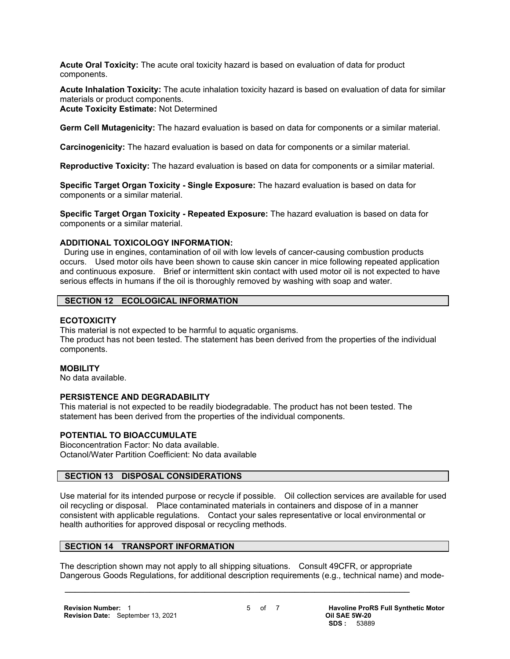**Acute Oral Toxicity:** The acute oral toxicity hazard is based on evaluation of data for product components.

**Acute Inhalation Toxicity:** The acute inhalation toxicity hazard is based on evaluation of data for similar materials or product components.

#### **Acute Toxicity Estimate:** Not Determined

**Germ Cell Mutagenicity:** The hazard evaluation is based on data for components or a similar material.

**Carcinogenicity:** The hazard evaluation is based on data for components or a similar material.

**Reproductive Toxicity:** The hazard evaluation is based on data for components or a similar material.

**Specific Target Organ Toxicity - Single Exposure:** The hazard evaluation is based on data for components or a similar material.

**Specific Target Organ Toxicity - Repeated Exposure:** The hazard evaluation is based on data for components or a similar material.

#### **ADDITIONAL TOXICOLOGY INFORMATION:**

 During use in engines, contamination of oil with low levels of cancer-causing combustion products occurs. Used motor oils have been shown to cause skin cancer in mice following repeated application and continuous exposure. Brief or intermittent skin contact with used motor oil is not expected to have serious effects in humans if the oil is thoroughly removed by washing with soap and water.

#### **SECTION 12 ECOLOGICAL INFORMATION**

#### **ECOTOXICITY**

This material is not expected to be harmful to aquatic organisms. The product has not been tested. The statement has been derived from the properties of the individual components.

#### **MOBILITY**

No data available.

#### **PERSISTENCE AND DEGRADABILITY**

This material is not expected to be readily biodegradable. The product has not been tested. The statement has been derived from the properties of the individual components.

# **POTENTIAL TO BIOACCUMULATE**

Bioconcentration Factor: No data available. Octanol/Water Partition Coefficient: No data available

# **SECTION 13 DISPOSAL CONSIDERATIONS**

Use material for its intended purpose or recycle if possible. Oil collection services are available for used oil recycling or disposal. Place contaminated materials in containers and dispose of in a manner consistent with applicable regulations. Contact your sales representative or local environmental or health authorities for approved disposal or recycling methods.

# **SECTION 14 TRANSPORT INFORMATION**

The description shown may not apply to all shipping situations. Consult 49CFR, or appropriate Dangerous Goods Regulations, for additional description requirements (e.g., technical name) and mode-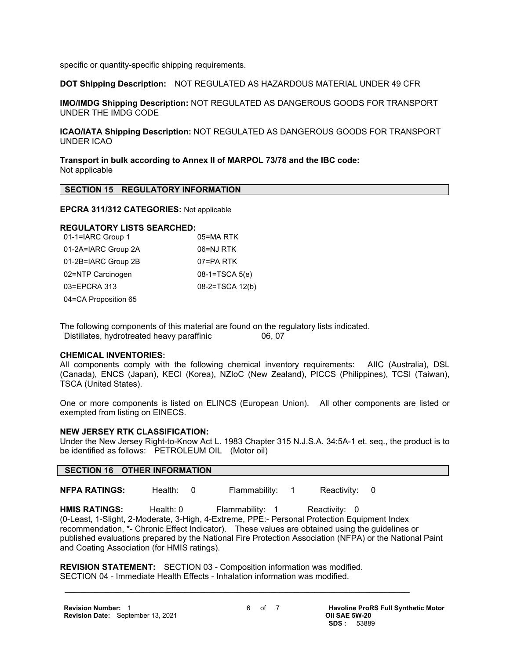specific or quantity-specific shipping requirements.

**DOT Shipping Description:** NOT REGULATED AS HAZARDOUS MATERIAL UNDER 49 CFR

**IMO/IMDG Shipping Description:** NOT REGULATED AS DANGEROUS GOODS FOR TRANSPORT UNDER THE IMDG CODE

**ICAO/IATA Shipping Description:** NOT REGULATED AS DANGEROUS GOODS FOR TRANSPORT UNDER ICAO

**Transport in bulk according to Annex II of MARPOL 73/78 and the IBC code:** Not applicable

#### **SECTION 15 REGULATORY INFORMATION**

#### **EPCRA 311/312 CATEGORIES:** Not applicable

# **REGULATORY LISTS SEARCHED:**

| 01-1=IARC Group 1    | 05=MA RTK        |
|----------------------|------------------|
| 01-2A=IARC Group 2A  | 06=NJ RTK        |
| 01-2B=IARC Group 2B  | 07=PA RTK        |
| 02=NTP Carcinogen    | $08-1=TSCA 5(e)$ |
| 03=EPCRA 313         | 08-2=TSCA 12(b)  |
| 04=CA Proposition 65 |                  |

The following components of this material are found on the regulatory lists indicated. Distillates, hydrotreated heavy paraffinic 06, 07

#### **CHEMICAL INVENTORIES:**

All components comply with the following chemical inventory requirements: AIIC (Australia), DSL (Canada), ENCS (Japan), KECI (Korea), NZIoC (New Zealand), PICCS (Philippines), TCSI (Taiwan), TSCA (United States).

One or more components is listed on ELINCS (European Union). All other components are listed or exempted from listing on EINECS.

#### **NEW JERSEY RTK CLASSIFICATION:**

Under the New Jersey Right-to-Know Act L. 1983 Chapter 315 N.J.S.A. 34:5A-1 et. seq., the product is to be identified as follows: PETROLEUM OIL (Motor oil)

#### **SECTION 16 OTHER INFORMATION**

**NFPA RATINGS:** Health: 0 Flammability: 1 Reactivity: 0

HMIS RATINGS: Health: 0 Flammability: 1 Reactivity: 0 (0-Least, 1-Slight, 2-Moderate, 3-High, 4-Extreme, PPE:- Personal Protection Equipment Index recommendation, \*- Chronic Effect Indicator). These values are obtained using the guidelines or published evaluations prepared by the National Fire Protection Association (NFPA) or the National Paint and Coating Association (for HMIS ratings).

**REVISION STATEMENT:** SECTION 03 - Composition information was modified. SECTION 04 - Immediate Health Effects - Inhalation information was modified.